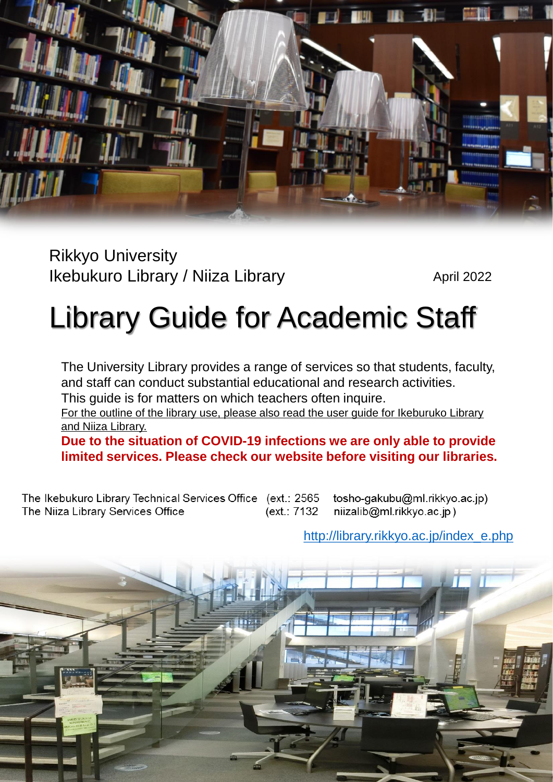

Rikkyo University Ikebukuro Library / Niiza Library

April 2022

# Library Guide for Academic Staff

The University Library provides a range of services so that students, faculty, and staff can conduct substantial educational and research activities.

This guide is for matters on which teachers often inquire.

For the outline of the library use, please also read the user guide for Ikeburuko Library and Niiza Library.

**Due to the situation of COVID-19 infections we are only able to provide limited services. Please check our website before visiting our libraries.**

The Ikebukuro Library Technical Services Office (ext.: 2565 (ext.: 7132 The Niiza Library Services Office

tosho-gakubu@ml.rikkyo.ac.jp) niizalib@ml.rikkyo.ac.jp)

[http://library.rikkyo.ac.jp/index\\_e.php](http://library.rikkyo.ac.jp/index_e.php)

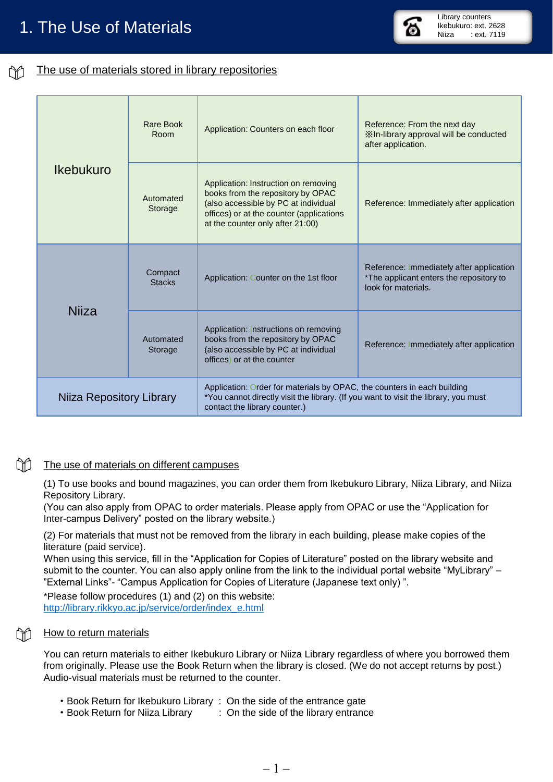#### The use of materials stored in library repositories ÑÔ

| <b>Ikebukuro</b>         | <b>Rare Book</b><br>Room | Application: Counters on each floor                                                                                                                                                               | Reference: From the next day<br>XIn-library approval will be conducted<br>after application.               |
|--------------------------|--------------------------|---------------------------------------------------------------------------------------------------------------------------------------------------------------------------------------------------|------------------------------------------------------------------------------------------------------------|
|                          | Automated<br>Storage     | Application: Instruction on removing<br>books from the repository by OPAC<br>(also accessible by PC at individual<br>offices) or at the counter (applications<br>at the counter only after 21:00) | Reference: Immediately after application                                                                   |
| <b>Niiza</b>             | Compact<br><b>Stacks</b> | Application: Counter on the 1st floor                                                                                                                                                             | Reference: Immediately after application<br>*The applicant enters the repository to<br>look for materials. |
|                          | Automated<br>Storage     | Application: Instructions on removing<br>books from the repository by OPAC<br>(also accessible by PC at individual<br>offices) or at the counter                                                  | Reference: Immediately after application                                                                   |
| Niiza Repository Library |                          | Application: Order for materials by OPAC, the counters in each building<br>*You cannot directly visit the library. (If you want to visit the library, you must<br>contact the library counter.)   |                                                                                                            |

Library counters Ikebukuro: ext. 2628<br>Niiza : ext. 7119 : ext. 7119

## The use of materials on different campuses

(1) To use books and bound magazines, you can order them from Ikebukuro Library, Niiza Library, and Niiza Repository Library.

(You can also apply from OPAC to order materials. Please apply from OPAC or use the "Application for Inter-campus Delivery" posted on the library website.)

(2) For materials that must not be removed from the library in each building, please make copies of the literature (paid service).

When using this service, fill in the "Application for Copies of Literature" posted on the library website and submit to the counter. You can also apply online from the link to the individual portal website "MyLibrary" – "External Links"- "Campus Application for Copies of Literature (Japanese text only) ".

\*Please follow procedures (1) and (2) on this website: [http://library.rikkyo.ac.jp/service/order/index\\_e.html](http://library.rikkyo.ac.jp/service/order/index_e.html)

## How to return materials

m

You can return materials to either Ikebukuro Library or Niiza Library regardless of where you borrowed them from originally. Please use the Book Return when the library is closed. (We do not accept returns by post.) Audio-visual materials must be returned to the counter.

- ・Book Return for Ikebukuro Library : On the side of the entrance gate
- ・Book Return for Niiza Library : On the side of the library entrance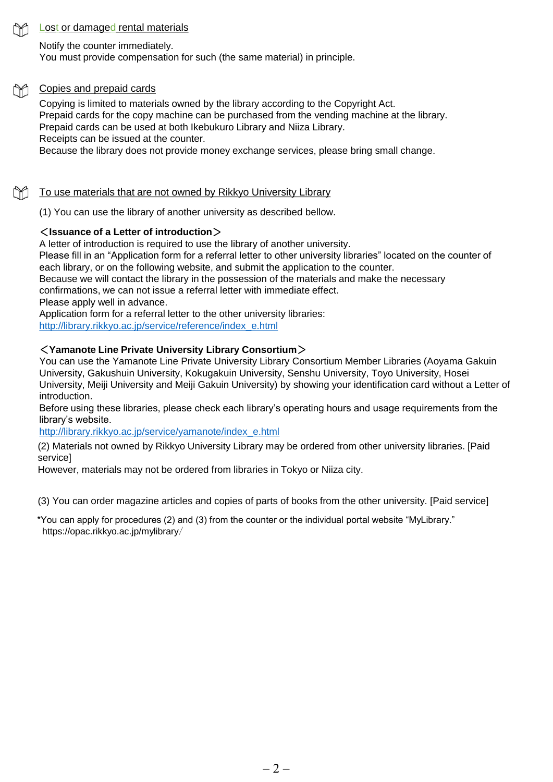## Lost or damaged rental materials

Notify the counter immediately.

You must provide compensation for such (the same material) in principle.

## Copies and prepaid cards

Copying is limited to materials owned by the library according to the Copyright Act. Prepaid cards for the copy machine can be purchased from the vending machine at the library. Prepaid cards can be used at both Ikebukuro Library and Niiza Library. Receipts can be issued at the counter. Because the library does not provide money exchange services, please bring small change.

## To use materials that are not owned by Rikkyo University Library

(1) You can use the library of another university as described bellow.

## <**Issuance of a Letter of introduction**>

A letter of introduction is required to use the library of another university. Please fill in an "Application form for a referral letter to other university libraries" located on the counter of each library, or on the following website, and submit the application to the counter. Because we will contact the library in the possession of the materials and make the necessary confirmations, we can not issue a referral letter with immediate effect. Please apply well in advance. Application form for a referral letter to the other university libraries:

[http://library.rikkyo.ac.jp/service/reference/index\\_e.html](http://library.rikkyo.ac.jp/service/reference/index_e.html)

## <**Yamanote Line Private University Library Consortium**>

You can use the Yamanote Line Private University Library Consortium Member Libraries (Aoyama Gakuin University, Gakushuin University, Kokugakuin University, Senshu University, Toyo University, Hosei University, Meiji University and Meiji Gakuin University) by showing your identification card without a Letter of introduction.

Before using these libraries, please check each library's operating hours and usage requirements from the library's website.

[http://library.rikkyo.ac.jp/service/yamanote/index\\_e.html](http://library.rikkyo.ac.jp/service/yamanote/index_e.html)

(2) Materials not owned by Rikkyo University Library may be ordered from other university libraries. [Paid service]

However, materials may not be ordered from libraries in Tokyo or Niiza city.

(3) You can order magazine articles and copies of parts of books from the other university. [Paid service]

\*You can apply for procedures (2) and (3) from the counter or the individual portal website "MyLibrary." https://opac.rikkyo.ac.jp/mylibrary/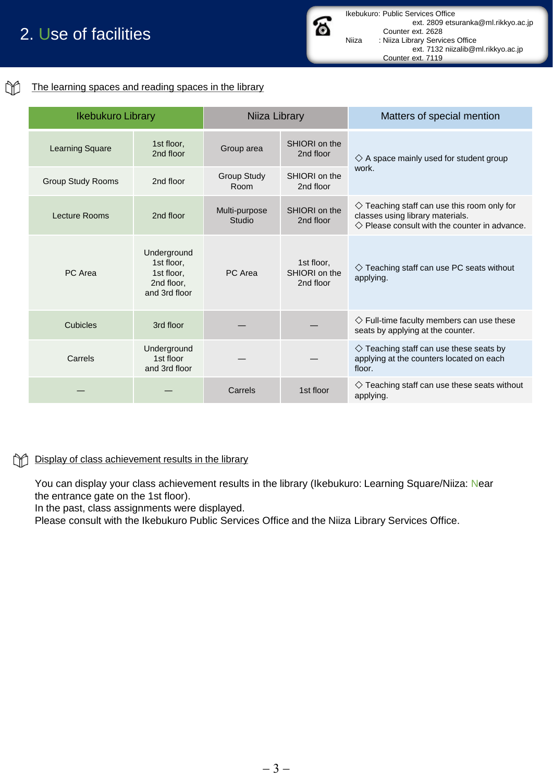# 2. Use of facilities

#### M The learning spaces and reading spaces in the library

| <b>Ikebukuro Library</b> |                                                                        | Niiza Library              |                                          | Matters of special mention                                                                                                                             |
|--------------------------|------------------------------------------------------------------------|----------------------------|------------------------------------------|--------------------------------------------------------------------------------------------------------------------------------------------------------|
| <b>Learning Square</b>   | 1st floor,<br>2nd floor                                                | Group area                 | SHIORI on the<br>2nd floor               | $\diamondsuit$ A space mainly used for student group                                                                                                   |
| <b>Group Study Rooms</b> | 2nd floor                                                              | <b>Group Study</b><br>Room | SHIORI on the<br>2nd floor               | work.                                                                                                                                                  |
| Lecture Rooms            | 2nd floor                                                              | Multi-purpose<br>Studio    | SHIORI on the<br>2nd floor               | $\diamondsuit$ Teaching staff can use this room only for<br>classes using library materials.<br>$\Diamond$ Please consult with the counter in advance. |
| PC Area                  | Underground<br>1st floor.<br>1st floor.<br>2nd floor,<br>and 3rd floor | PC Area                    | 1st floor.<br>SHIORI on the<br>2nd floor | $\diamondsuit$ Teaching staff can use PC seats without<br>applying.                                                                                    |
| Cubicles                 | 3rd floor                                                              |                            |                                          | $\diamondsuit$ Full-time faculty members can use these<br>seats by applying at the counter.                                                            |
| Carrels                  | Underground<br>1st floor<br>and 3rd floor                              |                            |                                          | $\diamondsuit$ Teaching staff can use these seats by<br>applying at the counters located on each<br>floor.                                             |
|                          |                                                                        | Carrels                    | 1st floor                                | $\diamondsuit$ Teaching staff can use these seats without<br>applying.                                                                                 |

**Display of class achievement results in the library** 

You can display your class achievement results in the library (Ikebukuro: Learning Square/Niiza: Near the entrance gate on the 1st floor).

In the past, class assignments were displayed.

Please consult with the Ikebukuro Public Services Office and the Niiza Library Services Office.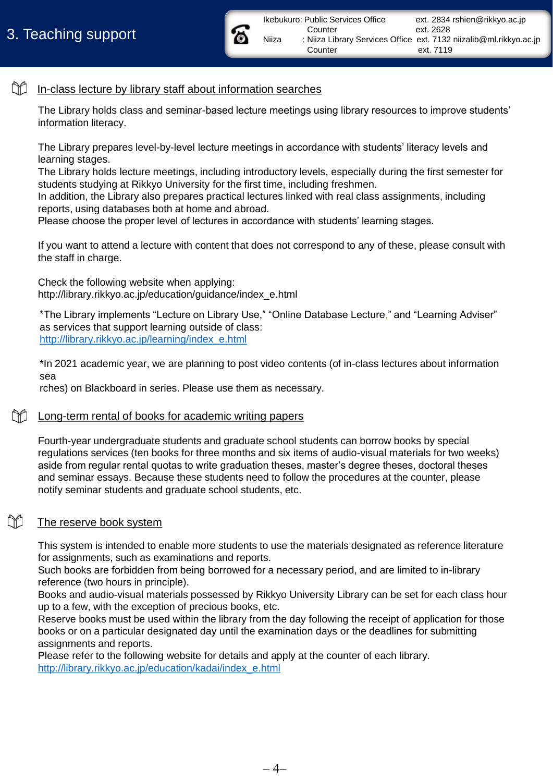

Counter ext. 2628 Niiza : Niiza Library Services Office ext. 7132 niizalib@ml.rikkyo.ac.jp

Counter ext. 7119

#### M In-class lecture by library staff about information searches

The Library holds class and seminar-based lecture meetings using library resources to improve students' information literacy.

The Library prepares level-by-level lecture meetings in accordance with students' literacy levels and learning stages.

The Library holds lecture meetings, including introductory levels, especially during the first semester for students studying at Rikkyo University for the first time, including freshmen.

In addition, the Library also prepares practical lectures linked with real class assignments, including reports, using databases both at home and abroad.

Please choose the proper level of lectures in accordance with students' learning stages.

If you want to attend a lecture with content that does not correspond to any of these, please consult with the staff in charge.

Check the following website when applying: http://library.rikkyo.ac.jp/education/guidance/index\_e.html

\*The Library implements "Lecture on Library Use," "Online Database Lecture," and "Learning Adviser" as services that support learning outside of class: [http://library.rikkyo.ac.jp/learning/index\\_e.html](http://library.rikkyo.ac.jp/learning/index_e.html)

\*In 2021 academic year, we are planning to post video contents (of in-class lectures about information sea

rches) on Blackboard in series. Please use them as necessary.

## Long-term rental of books for academic writing papers

Fourth-year undergraduate students and graduate school students can borrow books by special regulations services (ten books for three months and six items of audio-visual materials for two weeks) aside from regular rental quotas to write graduation theses, master's degree theses, doctoral theses and seminar essays. Because these students need to follow the procedures at the counter, please notify seminar students and graduate school students, etc.

#### M The reserve book system

This system is intended to enable more students to use the materials designated as reference literature for assignments, such as examinations and reports.

Such books are forbidden from being borrowed for a necessary period, and are limited to in-library reference (two hours in principle).

Books and audio-visual materials possessed by Rikkyo University Library can be set for each class hour up to a few, with the exception of precious books, etc.

Reserve books must be used within the library from the day following the receipt of application for those books or on a particular designated day until the examination days or the deadlines for submitting assignments and reports.

Please refer to the following website for details and apply at the counter of each library. [http://library.rikkyo.ac.jp/education/kadai/index\\_e.html](http://library.rikkyo.ac.jp/education/kadai/index_e.html)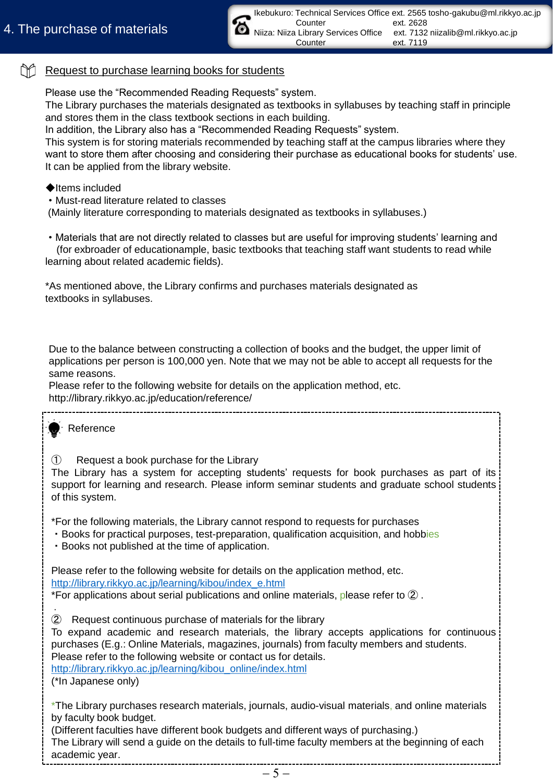#### m Request to purchase learning books for students

Please use the "Recommended Reading Requests" system.

The Library purchases the materials designated as textbooks in syllabuses by teaching staff in principle and stores them in the class textbook sections in each building.

In addition, the Library also has a "Recommended Reading Requests" system.

This system is for storing materials recommended by teaching staff at the campus libraries where they want to store them after choosing and considering their purchase as educational books for students' use. It can be applied from the library website.

## ◆Items included

・Must-read literature related to classes

(Mainly literature corresponding to materials designated as textbooks in syllabuses.)

・Materials that are not directly related to classes but are useful for improving students' learning and (for exbroader of educationample, basic textbooks that teaching staff want students to read while learning about related academic fields).

\*As mentioned above, the Library confirms and purchases materials designated as textbooks in syllabuses.

Due to the balance between constructing a collection of books and the budget, the upper limit of applications per person is 100,000 yen. Note that we may not be able to accept all requests for the same reasons.

Please refer to the following website for details on the application method, etc. http://library.rikkyo.ac.jp/education/reference/

Reference

① Request a book purchase for the Library

The Library has a system for accepting students' requests for book purchases as part of its support for learning and research. Please inform seminar students and graduate school students of this system.

\*For the following materials, the Library cannot respond to requests for purchases

- ・Books for practical purposes, test-preparation, qualification acquisition, and hobbies
- ・Books not published at the time of application.

Please refer to the following website for details on the application method, etc. [http://library.rikkyo.ac.jp/learning/kibou/index\\_e.html](http://library.rikkyo.ac.jp/learning/kibou/index_e.html)

. \*For applications about serial publications and online materials, please refer to ② .

② Request continuous purchase of materials for the library

To expand academic and research materials, the library accepts applications for continuous purchases (E.g.: Online Materials, magazines, journals) from faculty members and students. Please refer to the following website or contact us for details.

[http://library.rikkyo.ac.jp/learning/kibou\\_online/index.html](http://library.rikkyo.ac.jp/learning/kibou_online/index.html) (\*In Japanese only)

\*The Library purchases research materials, journals, audio-visual materials, and online materials by faculty book budget.

(Different faculties have different book budgets and different ways of purchasing.) The Library will send a guide on the details to full-time faculty members at the beginning of each academic year.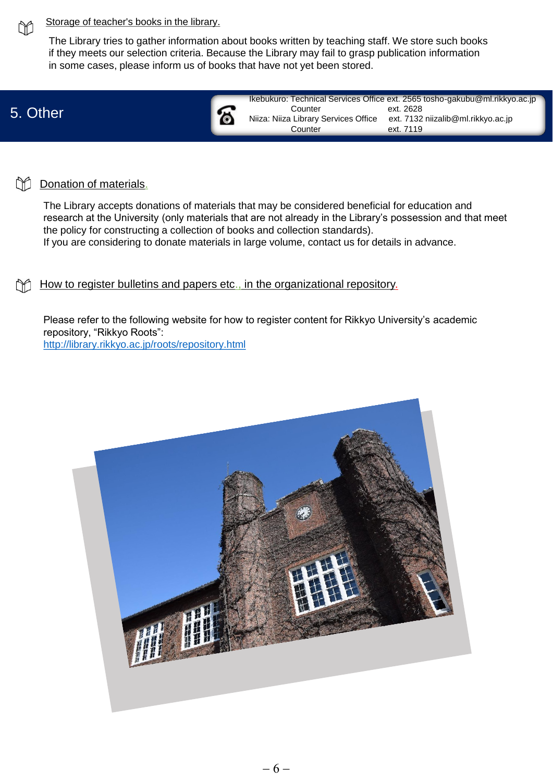

## Storage of teacher's books in the library.

The Library tries to gather information about books written by teaching staff. We store such books if they meets our selection criteria. Because the Library may fail to grasp publication information in some cases, please inform us of books that have not yet been stored.

## 5. Other

| කි | Counter<br>Niiza: Niiza Library Services Office<br>Counter | Ikebukuro: Technical Services Office ext. 2565 tosho-gakubu@ml.rikkyo.ac.jp<br>ext. 2628<br>ext. 7132 niizalib@ml.rikkyo.ac.jp<br>ext. 7119 |
|----|------------------------------------------------------------|---------------------------------------------------------------------------------------------------------------------------------------------|
|    |                                                            |                                                                                                                                             |

#### m Donation of materials.

The Library accepts donations of materials that may be considered beneficial for education and research at the University (only materials that are not already in the Library's possession and that meet the policy for constructing a collection of books and collection standards). If you are considering to donate materials in large volume, contact us for details in advance.

How to register bulletins and papers etc., in the organizational repository.

Please refer to the following website for how to register content for Rikkyo University's academic repository, "Rikkyo Roots": <http://library.rikkyo.ac.jp/roots/repository.html>